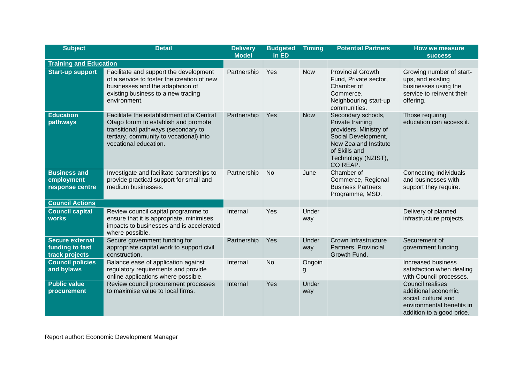| <b>Subject</b>                                              | <b>Detail</b>                                                                                                                                                                                | <b>Delivery</b><br><b>Model</b> | <b>Budgeted</b><br>in ED | <b>Timing</b> | <b>Potential Partners</b>                                                                                                                                                   | <b>How we measure</b><br><b>SUCCESS</b>                                                                                           |
|-------------------------------------------------------------|----------------------------------------------------------------------------------------------------------------------------------------------------------------------------------------------|---------------------------------|--------------------------|---------------|-----------------------------------------------------------------------------------------------------------------------------------------------------------------------------|-----------------------------------------------------------------------------------------------------------------------------------|
| <b>Training and Education</b>                               |                                                                                                                                                                                              |                                 |                          |               |                                                                                                                                                                             |                                                                                                                                   |
| <b>Start-up support</b>                                     | Facilitate and support the development<br>of a service to foster the creation of new<br>businesses and the adaptation of<br>existing business to a new trading<br>environment.               | Partnership                     | Yes                      | <b>Now</b>    | <b>Provincial Growth</b><br>Fund, Private sector,<br>Chamber of<br>Commerce.<br>Neighbouring start-up<br>communities.                                                       | Growing number of start-<br>ups, and existing<br>businesses using the<br>service to reinvent their<br>offering.                   |
| <b>Education</b><br>pathways                                | Facilitate the establishment of a Central<br>Otago forum to establish and promote<br>transitional pathways (secondary to<br>tertiary, community to vocational) into<br>vocational education. | Partnership                     | Yes                      | <b>Now</b>    | Secondary schools,<br>Private training<br>providers, Ministry of<br>Social Development,<br><b>New Zealand Institute</b><br>of Skills and<br>Technology (NZIST),<br>CO REAP. | Those requiring<br>education can access it.                                                                                       |
| <b>Business and</b><br>employment<br>response centre        | Investigate and facilitate partnerships to<br>provide practical support for small and<br>medium businesses.                                                                                  | Partnership                     | <b>No</b>                | June          | Chamber of<br>Commerce, Regional<br><b>Business Partners</b><br>Programme, MSD.                                                                                             | Connecting individuals<br>and businesses with<br>support they require.                                                            |
| <b>Council Actions</b>                                      |                                                                                                                                                                                              |                                 |                          |               |                                                                                                                                                                             |                                                                                                                                   |
| <b>Council capital</b><br><b>works</b>                      | Review council capital programme to<br>ensure that it is appropriate, minimises<br>impacts to businesses and is accelerated<br>where possible.                                               | Internal                        | Yes                      | Under<br>way  |                                                                                                                                                                             | Delivery of planned<br>infrastructure projects.                                                                                   |
| <b>Secure external</b><br>funding to fast<br>track projects | Secure government funding for<br>appropriate capital work to support civil<br>construction.                                                                                                  | Partnership                     | Yes                      | Under<br>way  | Crown Infrastructure<br>Partners, Provincial<br>Growth Fund.                                                                                                                | Securement of<br>government funding                                                                                               |
| <b>Council policies</b><br>and bylaws                       | Balance ease of application against<br>regulatory requirements and provide<br>online applications where possible.                                                                            | Internal                        | <b>No</b>                | Ongoin<br>g   |                                                                                                                                                                             | Increased business<br>satisfaction when dealing<br>with Council processes.                                                        |
| <b>Public value</b><br>procurement                          | Review council procurement processes<br>to maximise value to local firms.                                                                                                                    | Internal                        | Yes                      | Under<br>way  |                                                                                                                                                                             | <b>Council realises</b><br>additional economic,<br>social, cultural and<br>environmental benefits in<br>addition to a good price. |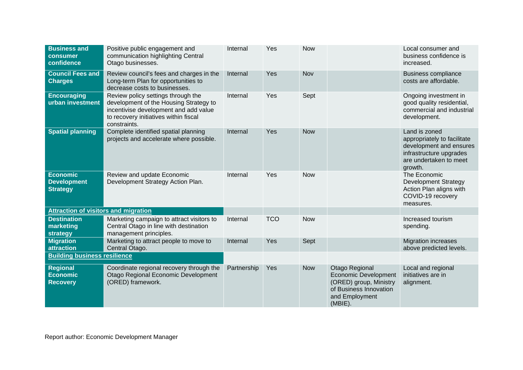| <b>Business and</b><br>consumer<br>confidence            | Positive public engagement and<br>communication highlighting Central<br>Otago businesses.                                                                                      | Internal    | Yes        | <b>Now</b> |                                                                                                                                | Local consumer and<br>business confidence is<br>increased.                                                                              |
|----------------------------------------------------------|--------------------------------------------------------------------------------------------------------------------------------------------------------------------------------|-------------|------------|------------|--------------------------------------------------------------------------------------------------------------------------------|-----------------------------------------------------------------------------------------------------------------------------------------|
| <b>Council Fees and</b><br><b>Charges</b>                | Review council's fees and charges in the<br>Long-term Plan for opportunities to<br>decrease costs to businesses.                                                               | Internal    | Yes        | Nov        |                                                                                                                                | <b>Business compliance</b><br>costs are affordable.                                                                                     |
| <b>Encouraging</b><br>urban investment                   | Review policy settings through the<br>development of the Housing Strategy to<br>incentivise development and add value<br>to recovery initiatives within fiscal<br>constraints. | Internal    | Yes        | Sept       |                                                                                                                                | Ongoing investment in<br>good quality residential,<br>commercial and industrial<br>development.                                         |
| <b>Spatial planning</b>                                  | Complete identified spatial planning<br>projects and accelerate where possible.                                                                                                | Internal    | Yes        | <b>Now</b> |                                                                                                                                | Land is zoned<br>appropriately to facilitate<br>development and ensures<br>infrastructure upgrades<br>are undertaken to meet<br>growth. |
| <b>Economic</b><br><b>Development</b><br><b>Strategy</b> | Review and update Economic<br>Development Strategy Action Plan.                                                                                                                | Internal    | Yes        | <b>Now</b> |                                                                                                                                | The Economic<br><b>Development Strategy</b><br>Action Plan aligns with<br>COVID-19 recovery<br>measures.                                |
| <b>Attraction of visitors and migration</b>              |                                                                                                                                                                                |             |            |            |                                                                                                                                |                                                                                                                                         |
| <b>Destination</b><br>marketing<br>strategy              | Marketing campaign to attract visitors to<br>Central Otago in line with destination<br>management principles.                                                                  | Internal    | <b>TCO</b> | <b>Now</b> |                                                                                                                                | Increased tourism<br>spending.                                                                                                          |
| <b>Migration</b><br>attraction                           | Marketing to attract people to move to<br>Central Otago.                                                                                                                       | Internal    | Yes        | Sept       |                                                                                                                                | <b>Migration increases</b><br>above predicted levels.                                                                                   |
| <b>Building business resilience</b>                      |                                                                                                                                                                                |             |            |            |                                                                                                                                |                                                                                                                                         |
| <b>Regional</b><br><b>Economic</b><br><b>Recovery</b>    | Coordinate regional recovery through the<br>Otago Regional Economic Development<br>(ORED) framework.                                                                           | Partnership | Yes        | <b>Now</b> | Otago Regional<br><b>Economic Development</b><br>(ORED) group, Ministry<br>of Business Innovation<br>and Employment<br>(MBIE). | Local and regional<br>initiatives are in<br>alignment.                                                                                  |